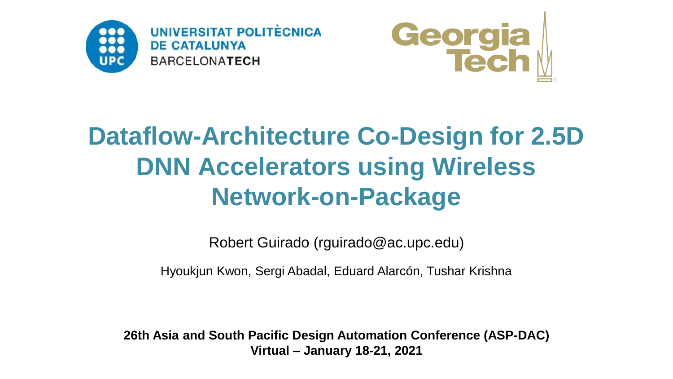



# **Dataflow-Architecture Co-Design for 2.5D DNN Accelerators using Wireless Network-on-Package**

Robert Guirado (rguirado@ac.upc.edu)

Hyoukjun Kwon, Sergi Abadal, Eduard Alarcón, Tushar Krishna

**26th Asia and South Pacific Design Automation Conference (ASP-DAC) Virtual – January 18-21, 2021**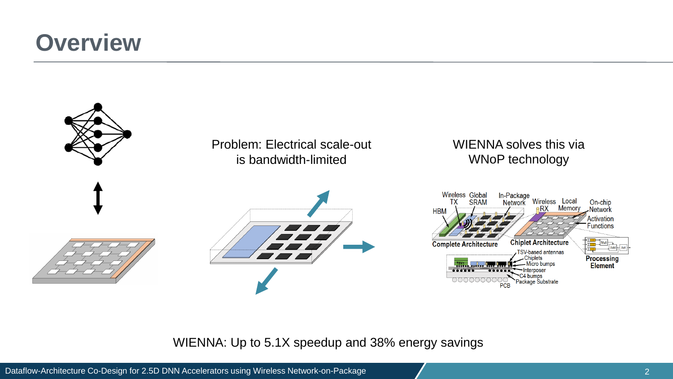#### **Overview**



WIENNA: Up to 5.1X speedup and 38% energy savings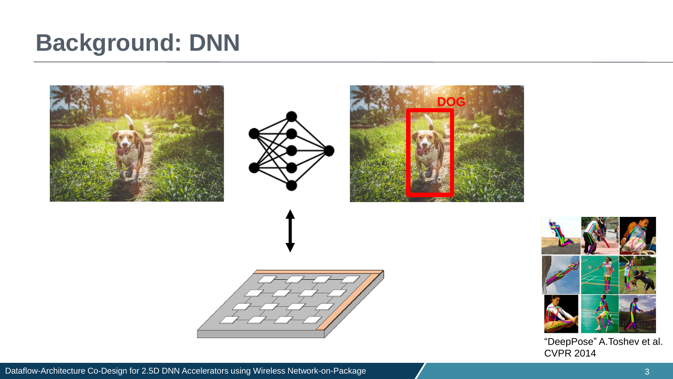#### **Background: DNN**





"DeepPose" A.Toshev et al. CVPR 2014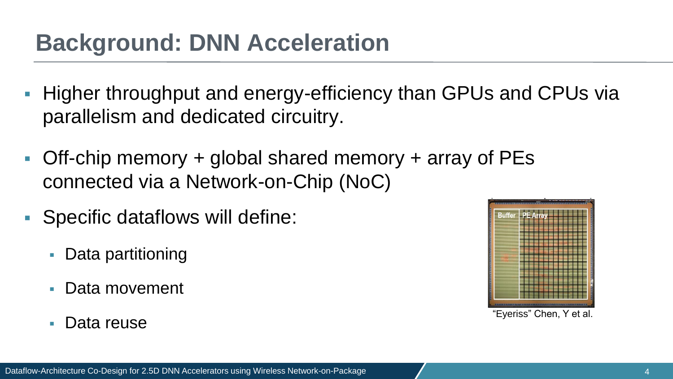### **Background: DNN Acceleration**

- Higher throughput and energy-efficiency than GPUs and CPUs via parallelism and dedicated circuitry.
- **Off-chip memory + global shared memory + array of PEs** connected via a Network-on-Chip (NoC)
- Specific dataflows will define:
	- Data partitioning
	- Data movement
	- Data reuse

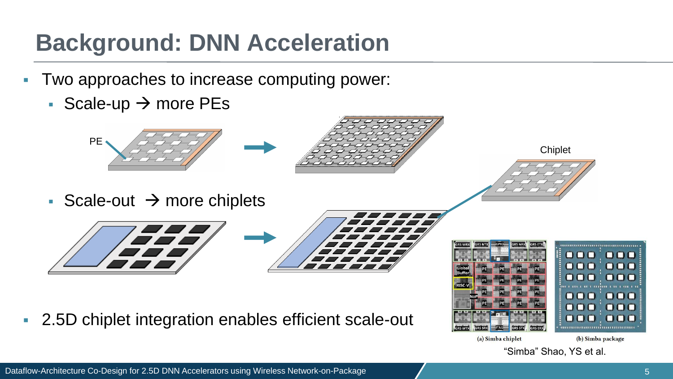## **Background: DNN Acceleration**

- Two approaches to increase computing power:
	- Scale-up  $\rightarrow$  more PEs









■ 2.5D chiplet integration enables efficient scale-out





(a) Simba chiplet

(b) Simba package

"Simba" Shao, YS et al.

**Chiplet**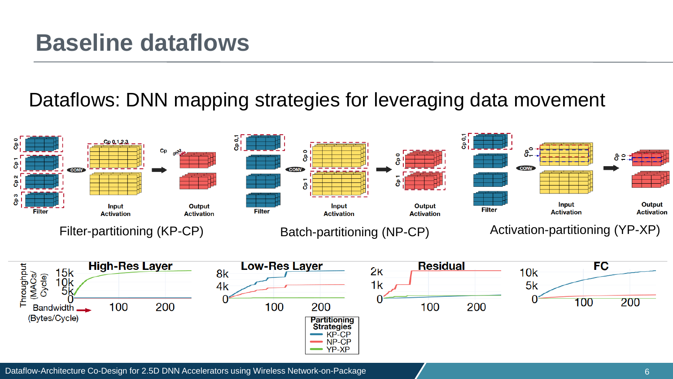#### **Baseline dataflows**

#### Dataflows: DNN mapping strategies for leveraging data movement



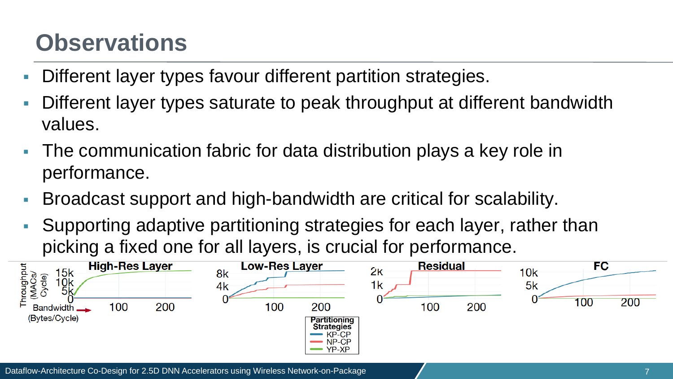### **Observations**

- Different layer types favour different partition strategies.
- Different layer types saturate to peak throughput at different bandwidth values.
- The communication fabric for data distribution plays a key role in performance.
- Broadcast support and high-bandwidth are critical for scalability.
- Supporting adaptive partitioning strategies for each layer, rather than picking a fixed one for all layers, is crucial for performance.

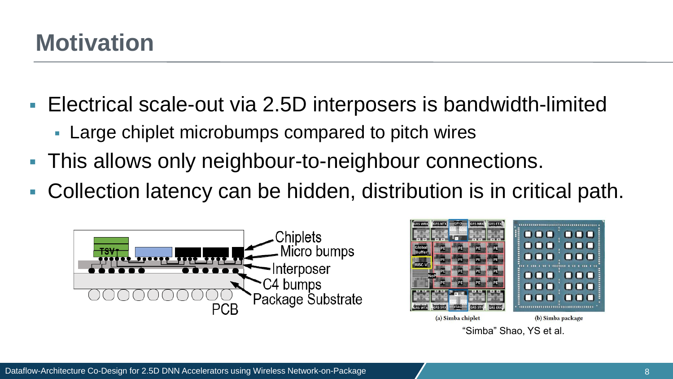### **Motivation**

- Electrical scale-out via 2.5D interposers is bandwidth-limited
	- Large chiplet microbumps compared to pitch wires
- This allows only neighbour-to-neighbour connections.
- Collection latency can be hidden, distribution is in critical path.



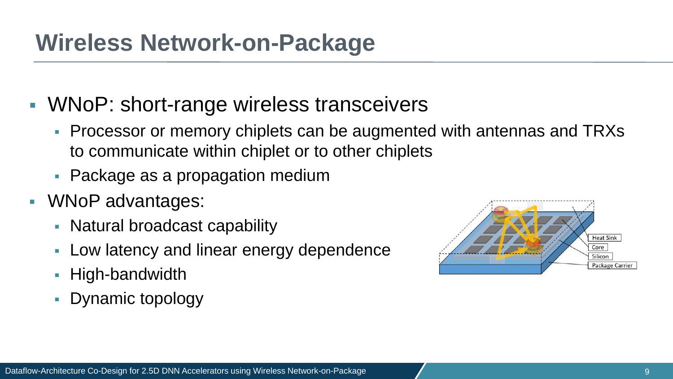#### **Wireless Network-on-Package**

#### ■ WNoP: short-range wireless transceivers

- Processor or memory chiplets can be augmented with antennas and TRXs to communicate within chiplet or to other chiplets
- Package as a propagation medium
- WNoP advantages:
	- Natural broadcast capability
	- Low latency and linear energy dependence
	- High-bandwidth
	- **Dynamic topology**

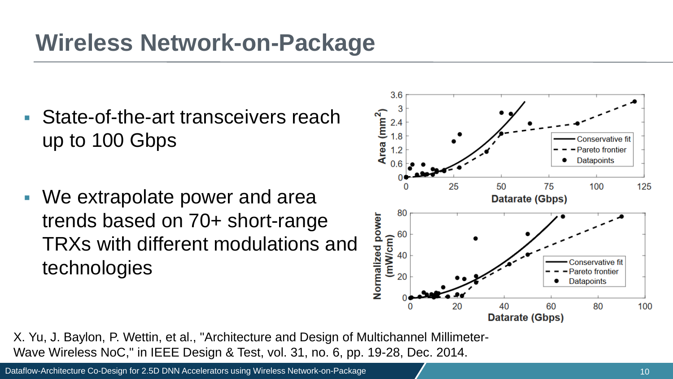## **Wireless Network-on-Package**

- State-of-the-art transceivers reach up to 100 Gbps
- We extrapolate power and area trends based on 70+ short-range TRXs with different modulations and technologies



X. Yu, J. Baylon, P. Wettin, et al., "Architecture and Design of Multichannel Millimeter-Wave Wireless NoC," in IEEE Design & Test, vol. 31, no. 6, pp. 19-28, Dec. 2014.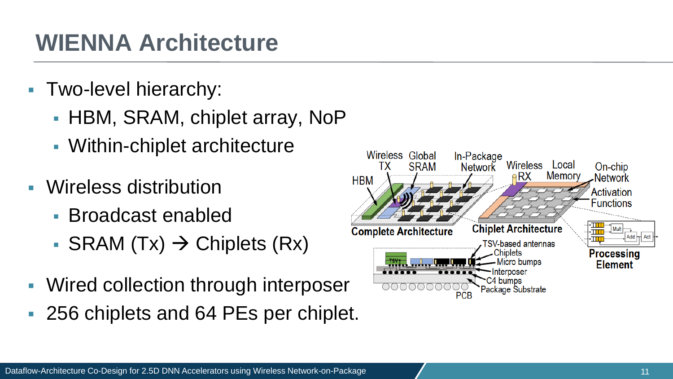- Two-level hierarchy:
	- HBM, SRAM, chiplet array, NoP
	- Within-chiplet architecture
- Wireless distribution
	- Broadcast enabled
	- SRAM  $(Tx)$  → Chiplets  $(Rx)$
- Wired collection through interposer
- 256 chiplets and 64 PEs per chiplet.

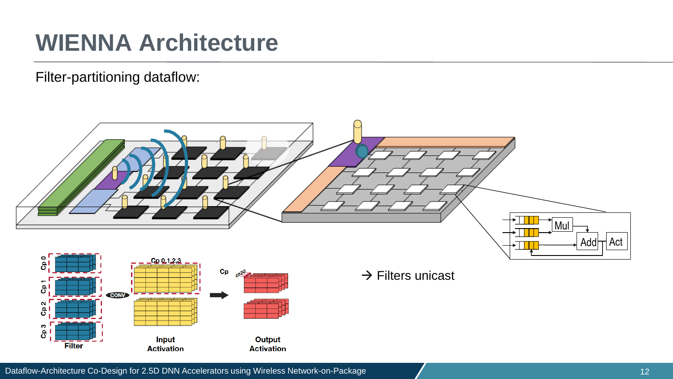Filter-partitioning dataflow:

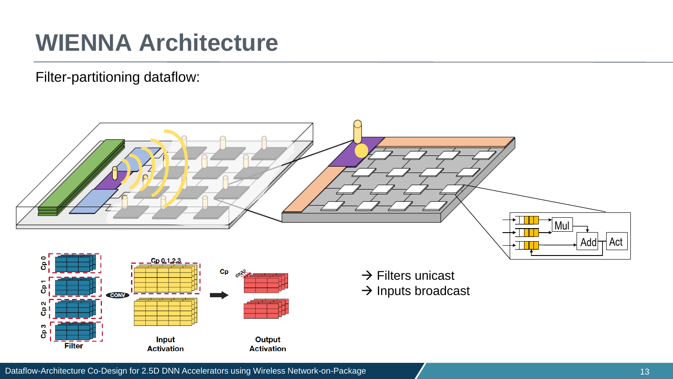Filter-partitioning dataflow:

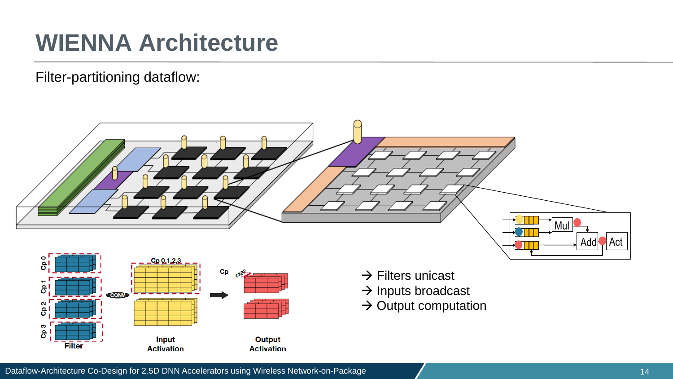Filter-partitioning dataflow:





- $\rightarrow$  Filters unicast
- $\rightarrow$  Inputs broadcast
- $\rightarrow$  Output computation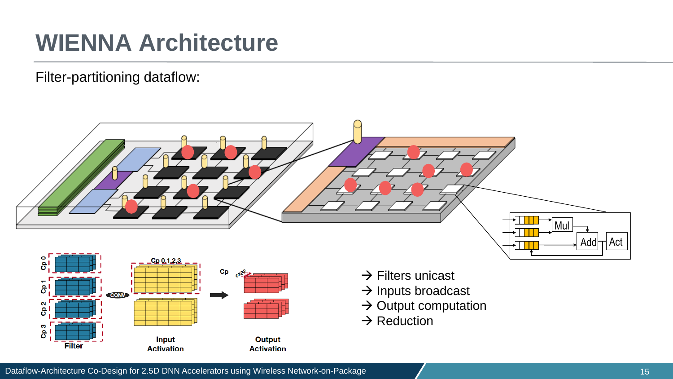Filter-partitioning dataflow:





- $\rightarrow$  Filters unicast
- $\rightarrow$  Inputs broadcast
- $\rightarrow$  Output computation
- $\rightarrow$  Reduction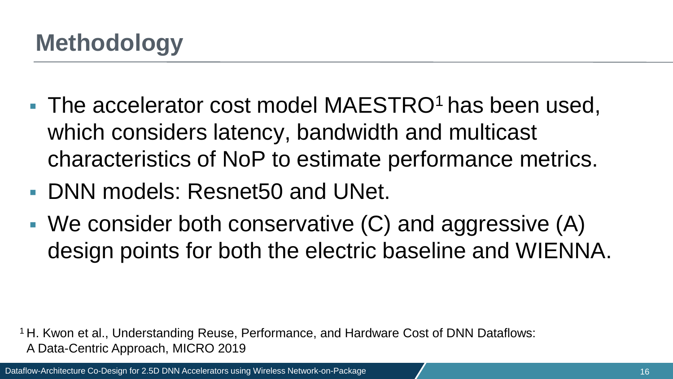- The accelerator cost model MAESTRO<sup>1</sup> has been used, which considers latency, bandwidth and multicast characteristics of NoP to estimate performance metrics.
- DNN models: Resnet50 and UNet.
- $\blacksquare$  We consider both conservative  $(C)$  and aggressive  $(A)$ design points for both the electric baseline and WIENNA.

<sup>1</sup> H. Kwon et al., Understanding Reuse, Performance, and Hardware Cost of DNN Dataflows: aA Data-Centric Approach, MICRO 2019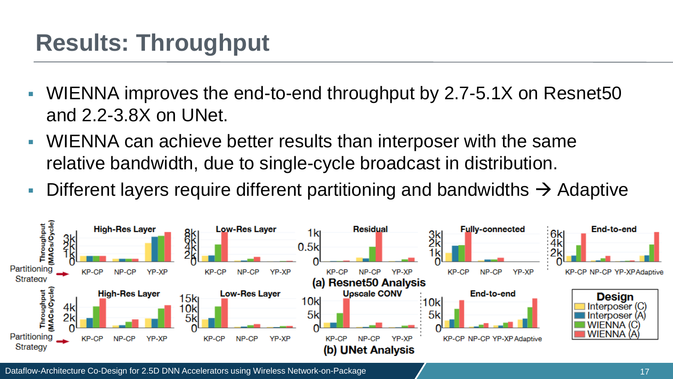### **Results: Throughput**

- WIENNA improves the end-to-end throughput by 2.7-5.1X on Resnet50 and 2.2-3.8X on UNet.
- WIENNA can achieve better results than interposer with the same relative bandwidth, due to single-cycle broadcast in distribution.
- **Different layers require different partitioning and bandwidths**  $\rightarrow$  **Adaptive**

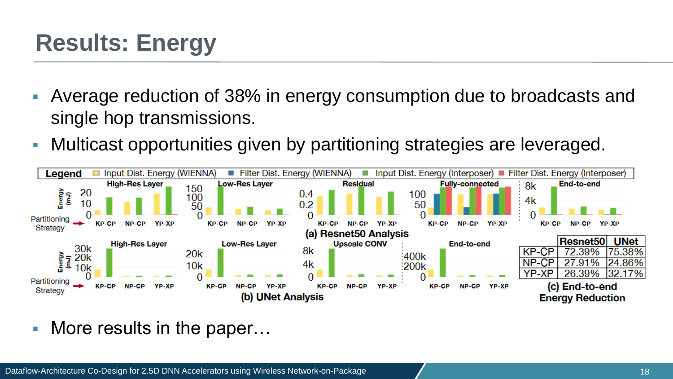## **Results: Energy**

- Average reduction of 38% in energy consumption due to broadcasts and single hop transmissions.
- Multicast opportunities given by partitioning strategies are leveraged.



■ More results in the paper...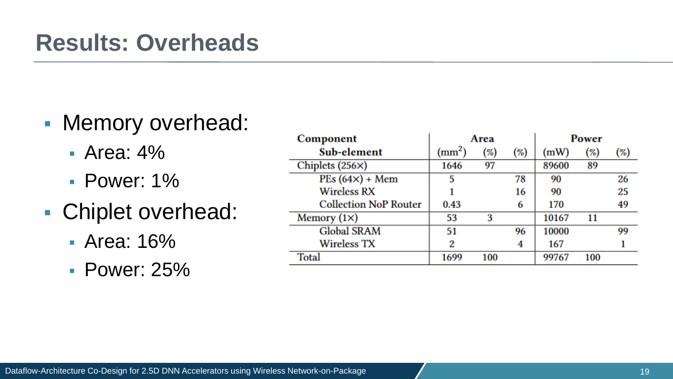#### **Results: Overheads**

#### ■ Memory overhead:

- Area: 4%
- Power: 1%
- Chiplet overhead:
	- Area: 16%
	- Power: 25%

| Component                    | Area         |     |        | Power |     |     |
|------------------------------|--------------|-----|--------|-------|-----|-----|
| Sub-element                  | $\rm (mm^2)$ | (%) | $(\%)$ | (mW)  | (%) | (%) |
| Chiplets $(256\times)$       | 1646         | 97  |        | 89600 | 89  |     |
| $PEs (64x) + Mem$            | 5            |     | 78     | 90    |     | 26  |
| <b>Wireless RX</b>           |              |     | 16     | 90    |     | 25  |
| <b>Collection NoP Router</b> | 0.43         |     | 6      | 170   |     | 49  |
| Memory $(1\times)$           | 53           | 3   |        | 10167 | 11  |     |
| <b>Global SRAM</b>           | 51           |     | 96     | 10000 |     | 99  |
| <b>Wireless TX</b>           | 2            |     | 4      | 167   |     |     |
| Total                        | 1699         | 100 |        | 99767 | 100 |     |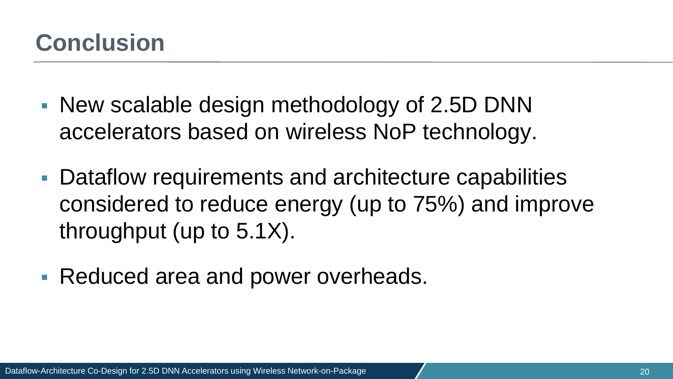#### **Conclusion**

- New scalable design methodology of 2.5D DNN accelerators based on wireless NoP technology.
- Dataflow requirements and architecture capabilities considered to reduce energy (up to 75%) and improve throughput (up to 5.1X).
- Reduced area and power overheads.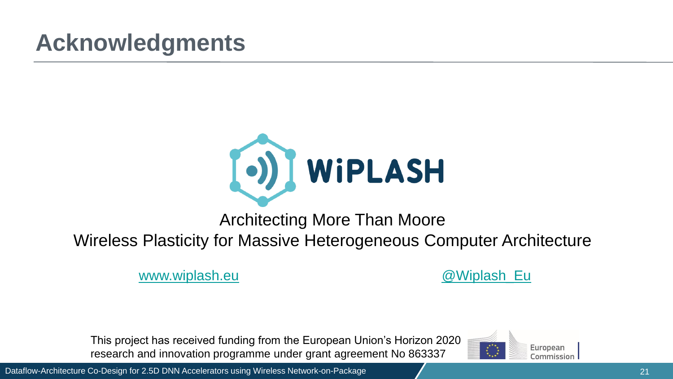## **Acknowledgments**



Architecting More Than Moore Wireless Plasticity for Massive Heterogeneous Computer Architecture

[www.wiplash.eu](wiplash.eu) and a control of the control of the control of the control of the control of the control of the control of the control of the control of the control of the control of the control of the control of the contro

This project has received funding from the European Union's Horizon 2020 research and innovation programme under grant agreement No 863337